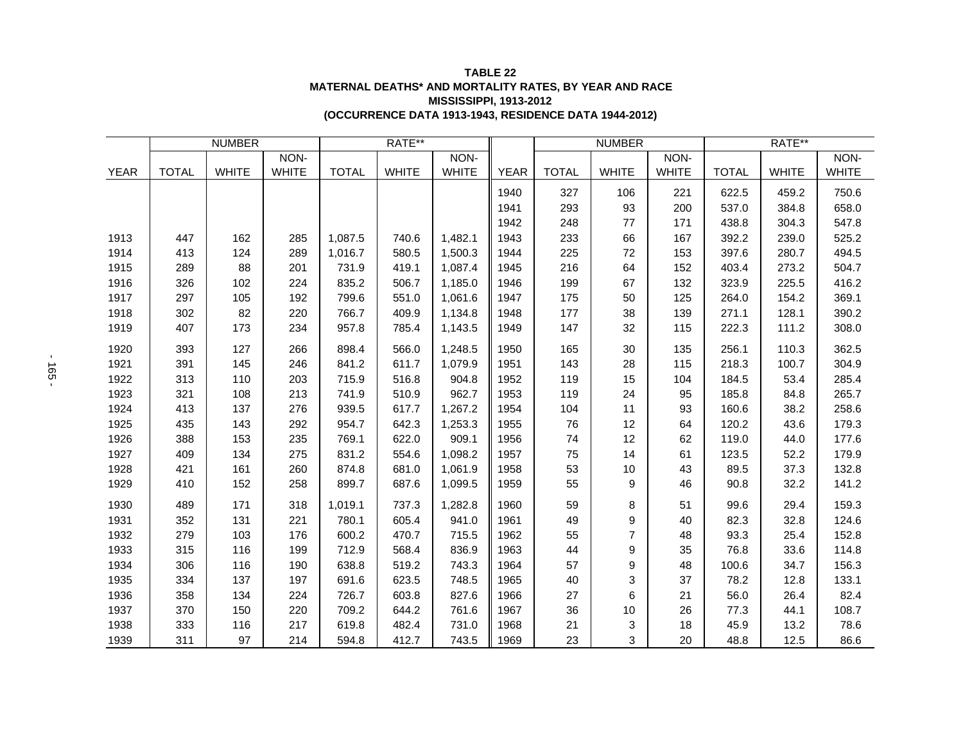| <b>TABLE 22</b>                                        |
|--------------------------------------------------------|
| MATERNAL DEATHS* AND MORTALITY RATES. BY YEAR AND RACE |
| <b>MISSISSIPPI. 1913-2012</b>                          |
| (OCCURRENCE DATA 1913-1943, RESIDENCE DATA 1944-2012)  |

|             | <b>NUMBER</b> |              |              | RATE**       |              |              |             | <b>NUMBER</b> |                |              | RATE**       |              |              |
|-------------|---------------|--------------|--------------|--------------|--------------|--------------|-------------|---------------|----------------|--------------|--------------|--------------|--------------|
|             |               |              | NON-         |              |              | NON-         |             |               |                | NON-         |              |              | NON-         |
| <b>YEAR</b> | <b>TOTAL</b>  | <b>WHITE</b> | <b>WHITE</b> | <b>TOTAL</b> | <b>WHITE</b> | <b>WHITE</b> | <b>YEAR</b> | <b>TOTAL</b>  | <b>WHITE</b>   | <b>WHITE</b> | <b>TOTAL</b> | <b>WHITE</b> | <b>WHITE</b> |
|             |               |              |              |              |              |              | 1940        | 327           | 106            | 221          | 622.5        | 459.2        | 750.6        |
|             |               |              |              |              |              |              | 1941        | 293           | 93             | 200          | 537.0        | 384.8        | 658.0        |
|             |               |              |              |              |              |              | 1942        | 248           | 77             | 171          | 438.8        | 304.3        | 547.8        |
| 1913        | 447           | 162          | 285          | 1,087.5      | 740.6        | 1,482.1      | 1943        | 233           | 66             | 167          | 392.2        | 239.0        | 525.2        |
| 1914        | 413           | 124          | 289          | 1,016.7      | 580.5        | 1,500.3      | 1944        | 225           | 72             | 153          | 397.6        | 280.7        | 494.5        |
| 1915        | 289           | 88           | 201          | 731.9        | 419.1        | 1,087.4      | 1945        | 216           | 64             | 152          | 403.4        | 273.2        | 504.7        |
| 1916        | 326           | 102          | 224          | 835.2        | 506.7        | 1,185.0      | 1946        | 199           | 67             | 132          | 323.9        | 225.5        | 416.2        |
| 1917        | 297           | 105          | 192          | 799.6        | 551.0        | 1,061.6      | 1947        | 175           | 50             | 125          | 264.0        | 154.2        | 369.1        |
| 1918        | 302           | 82           | 220          | 766.7        | 409.9        | 1,134.8      | 1948        | 177           | 38             | 139          | 271.1        | 128.1        | 390.2        |
| 1919        | 407           | 173          | 234          | 957.8        | 785.4        | 1,143.5      | 1949        | 147           | 32             | 115          | 222.3        | 111.2        | 308.0        |
| 1920        | 393           | 127          | 266          | 898.4        | 566.0        | 1,248.5      | 1950        | 165           | 30             | 135          | 256.1        | 110.3        | 362.5        |
| 1921        | 391           | 145          | 246          | 841.2        | 611.7        | 1,079.9      | 1951        | 143           | 28             | 115          | 218.3        | 100.7        | 304.9        |
| 1922        | 313           | 110          | 203          | 715.9        | 516.8        | 904.8        | 1952        | 119           | 15             | 104          | 184.5        | 53.4         | 285.4        |
| 1923        | 321           | 108          | 213          | 741.9        | 510.9        | 962.7        | 1953        | 119           | 24             | 95           | 185.8        | 84.8         | 265.7        |
| 1924        | 413           | 137          | 276          | 939.5        | 617.7        | 1,267.2      | 1954        | 104           | 11             | 93           | 160.6        | 38.2         | 258.6        |
| 1925        | 435           | 143          | 292          | 954.7        | 642.3        | 1,253.3      | 1955        | 76            | 12             | 64           | 120.2        | 43.6         | 179.3        |
| 1926        | 388           | 153          | 235          | 769.1        | 622.0        | 909.1        | 1956        | 74            | 12             | 62           | 119.0        | 44.0         | 177.6        |
| 1927        | 409           | 134          | 275          | 831.2        | 554.6        | 1,098.2      | 1957        | 75            | 14             | 61           | 123.5        | 52.2         | 179.9        |
| 1928        | 421           | 161          | 260          | 874.8        | 681.0        | 1,061.9      | 1958        | 53            | 10             | 43           | 89.5         | 37.3         | 132.8        |
| 1929        | 410           | 152          | 258          | 899.7        | 687.6        | 1,099.5      | 1959        | 55            | 9              | 46           | 90.8         | 32.2         | 141.2        |
| 1930        | 489           | 171          | 318          | 1,019.1      | 737.3        | 1,282.8      | 1960        | 59            | 8              | 51           | 99.6         | 29.4         | 159.3        |
| 1931        | 352           | 131          | 221          | 780.1        | 605.4        | 941.0        | 1961        | 49            | 9              | 40           | 82.3         | 32.8         | 124.6        |
| 1932        | 279           | 103          | 176          | 600.2        | 470.7        | 715.5        | 1962        | 55            | $\overline{7}$ | 48           | 93.3         | 25.4         | 152.8        |
| 1933        | 315           | 116          | 199          | 712.9        | 568.4        | 836.9        | 1963        | 44            | 9              | 35           | 76.8         | 33.6         | 114.8        |
| 1934        | 306           | 116          | 190          | 638.8        | 519.2        | 743.3        | 1964        | 57            | 9              | 48           | 100.6        | 34.7         | 156.3        |
| 1935        | 334           | 137          | 197          | 691.6        | 623.5        | 748.5        | 1965        | 40            | 3              | 37           | 78.2         | 12.8         | 133.1        |
| 1936        | 358           | 134          | 224          | 726.7        | 603.8        | 827.6        | 1966        | 27            | 6              | 21           | 56.0         | 26.4         | 82.4         |
| 1937        | 370           | 150          | 220          | 709.2        | 644.2        | 761.6        | 1967        | 36            | $10$           | 26           | 77.3         | 44.1         | 108.7        |
| 1938        | 333           | 116          | 217          | 619.8        | 482.4        | 731.0        | 1968        | 21            | 3              | 18           | 45.9         | 13.2         | 78.6         |
| 1939        | 311           | 97           | 214          | 594.8        | 412.7        | 743.5        | 1969        | 23            | 3              | 20           | 48.8         | 12.5         | 86.6         |